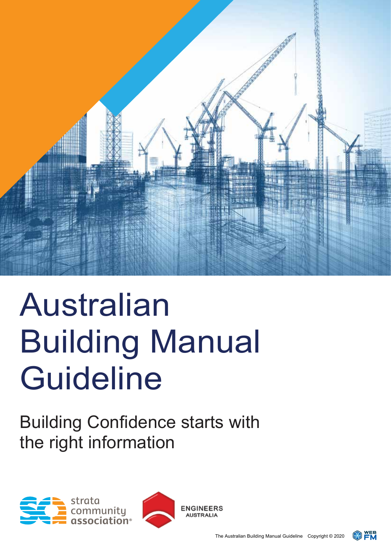

# Australian Building Manual **Guideline**

Building Confidence starts with the right information





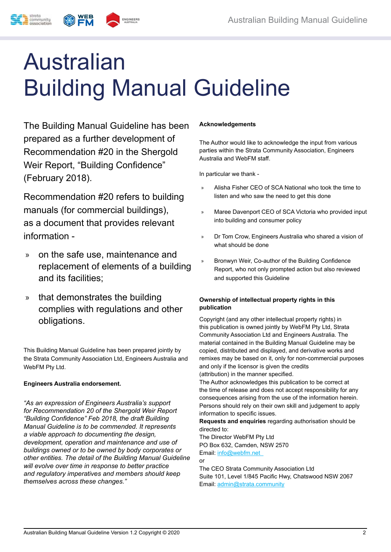## Australian Building Manual Guideline

The Building Manual Guideline has been prepared as a further development of Recommendation #20 in the Shergold Weir Report, "Building Confidence" (February 2018).

Recommendation #20 refers to building manuals (for commercial buildings), as a document that provides relevant information -

- » on the safe use, maintenance and replacement of elements of a building and its facilities;
- » that demonstrates the building complies with regulations and other obligations.

This Building Manual Guideline has been prepared jointly by the Strata Community Association Ltd, Engineers Australia and WebFM Pty Ltd.

#### **Engineers Australia endorsement.**

*"As an expression of Engineers Australia's support for Recommendation 20 of the Shergold Weir Report "Building Confidence" Feb 2018, the draft Building Manual Guideline is to be commended. It represents a viable approach to documenting the design, development, operation and maintenance and use of buildings owned or to be owned by body corporates or other entities. The detail of the Building Manual Guideline will evolve over time in response to better practice and regulatory imperatives and members should keep themselves across these changes."*

#### **Acknowledgements**

The Author would like to acknowledge the input from various parties within the Strata Community Association, Engineers Australia and WebFM staff.

In particular we thank -

- » Alisha Fisher CEO of SCA National who took the time to listen and who saw the need to get this done
- » Maree Davenport CEO of SCA Victoria who provided input into building and consumer policy
- » Dr Tom Crow, Engineers Australia who shared a vision of what should be done
- » Bronwyn Weir, Co-author of the Building Confidence Report, who not only prompted action but also reviewed and supported this Guideline

#### **Ownership of intellectual property rights in this publication**

Copyright (and any other intellectual property rights) in this publication is owned jointly by WebFM Pty Ltd, Strata Community Association Ltd and Engineers Australia. The material contained in the Building Manual Guideline may be copied, distributed and displayed, and derivative works and remixes may be based on it, only for non-commercial purposes and only if the licensor is given the credits (attribution) in the manner specified.

The Author acknowledges this publication to be correct at the time of release and does not accept responsibility for any consequences arising from the use of the information herein. Persons should rely on their own skill and judgement to apply information to specific issues.

**Requests and enquiries** regarding authorisation should be directed to:

The Director WebFM Pty Ltd PO Box 632, Camden, NSW 2570 Email: info@webfm.net

or The CEO Strata Community Association Ltd Suite 101, Level 1/845 Pacific Hwy, Chatswood NSW 2067 Email: admin@strata.community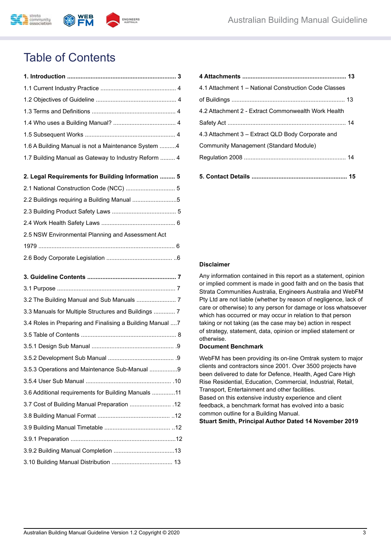

## Table of Contents

| 1.6 A Building Manual is not a Maintenance System 4        |
|------------------------------------------------------------|
| 1.7 Building Manual as Gateway to Industry Reform  4       |
| 2. Legal Requirements for Building Information  5          |
| 2.1 National Construction Code (NCC)  5                    |
|                                                            |
| 2.2 Buildings requiring a Building Manual 5                |
|                                                            |
| 2.5 NSW Environmental Planning and Assessment Act          |
|                                                            |
|                                                            |
|                                                            |
|                                                            |
|                                                            |
|                                                            |
| 3.2 The Building Manual and Sub Manuals  7                 |
| 3.3 Manuals for Multiple Structures and Buildings  7       |
| 3.4 Roles in Preparing and Finalising a Building Manual  7 |
|                                                            |
|                                                            |
|                                                            |
| 3.5.3 Operations and Maintenance Sub-Manual 9              |
|                                                            |
| 3.6 Additional requirements for Building Manuals 11        |
| 3.7 Cost of Building Manual Preparation  12                |
|                                                            |
|                                                            |
|                                                            |
|                                                            |

| 4.1 Attachment 1 – National Construction Code Classes |
|-------------------------------------------------------|
|                                                       |
| 4.2 Attachment 2 - Extract Commonwealth Work Health   |
|                                                       |
| 4.3 Attachment 3 – Extract QLD Body Corporate and     |
| Community Management (Standard Module)                |
|                                                       |
|                                                       |
|                                                       |

#### **Disclaimer**

Any information contained in this report as a statement, opinion or implied comment is made in good faith and on the basis that Strata Communities Australia, Engineers Australia and WebFM Pty Ltd are not liable (whether by reason of negligence, lack of care or otherwise) to any person for damage or loss whatsoever which has occurred or may occur in relation to that person taking or not taking (as the case may be) action in respect of strategy, statement, data, opinion or implied statement or otherwise.

#### **Document Benchmark**

WebFM has been providing its on-line Omtrak system to major clients and contractors since 2001. Over 3500 projects have been delivered to date for Defence, Health, Aged Care High Rise Residential, Education, Commercial, Industrial, Retail, Transport, Entertainment and other facilities. Based on this extensive industry experience and client feedback, a benchmark format has evolved into a basic common outline for a Building Manual.

**Stuart Smith, Principal Author Dated 14 November 2019**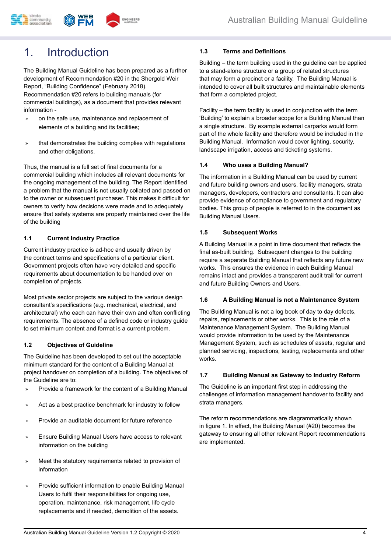

## 1. Introduction

The Building Manual Guideline has been prepared as a further development of Recommendation #20 in the Shergold Weir Report, "Building Confidence" (February 2018). Recommendation #20 refers to building manuals (for commercial buildings), as a document that provides relevant information -

- » on the safe use, maintenance and replacement of elements of a building and its facilities;
- that demonstrates the building complies with regulations and other obligations.

Thus, the manual is a full set of final documents for a commercial building which includes all relevant documents for the ongoing management of the building. The Report identified a problem that the manual is not usually collated and passed on to the owner or subsequent purchaser. This makes it difficult for owners to verify how decisions were made and to adequately ensure that safety systems are properly maintained over the life of the building

#### **1.1 Current Industry Practice**

Current industry practice is ad-hoc and usually driven by the contract terms and specifications of a particular client. Government projects often have very detailed and specific requirements about documentation to be handed over on completion of projects.

Most private sector projects are subject to the various design consultant's specifications (e.g. mechanical, electrical, and architectural) who each can have their own and often conflicting requirements. The absence of a defined code or industry guide to set minimum content and format is a current problem.

#### **1.2 Objectives of Guideline**

The Guideline has been developed to set out the acceptable minimum standard for the content of a Building Manual at project handover on completion of a building. The objectives of the Guideline are to:

- » Provide a framework for the content of a Building Manual
- » Act as a best practice benchmark for industry to follow
- » Provide an auditable document for future reference
- » Ensure Building Manual Users have access to relevant information on the building
- » Meet the statutory requirements related to provision of information
- » Provide sufficient information to enable Building Manual Users to fulfil their responsibilities for ongoing use, operation, maintenance, risk management, life cycle replacements and if needed, demolition of the assets.

#### **1.3 Terms and Definitions**

Building – the term building used in the guideline can be applied to a stand-alone structure or a group of related structures that may form a precinct or a facility. The Building Manual is intended to cover all built structures and maintainable elements that form a completed project.

Facility – the term facility is used in conjunction with the term 'Building' to explain a broader scope for a Building Manual than a single structure. By example external carparks would form part of the whole facility and therefore would be included in the Building Manual. Information would cover lighting, security, landscape irrigation, access and ticketing systems.

#### **1.4 Who uses a Building Manual?**

The information in a Building Manual can be used by current and future building owners and users, facility managers, strata managers, developers, contractors and consultants. It can also provide evidence of compliance to government and regulatory bodies. This group of people is referred to in the document as Building Manual Users.

#### **1.5 Subsequent Works**

A Building Manual is a point in time document that reflects the final as-built building. Subsequent changes to the building require a separate Building Manual that reflects any future new works. This ensures the evidence in each Building Manual remains intact and provides a transparent audit trail for current and future Building Owners and Users.

#### **1.6 A Building Manual is not a Maintenance System**

The Building Manual is not a log book of day to day defects, repairs, replacements or other works. This is the role of a Maintenance Management System. The Building Manual would provide information to be used by the Maintenance Management System, such as schedules of assets, regular and planned servicing, inspections, testing, replacements and other works.

#### **1.7 Building Manual as Gateway to Industry Reform**

The Guideline is an important first step in addressing the challenges of information management handover to facility and strata managers.

The reform recommendations are diagrammatically shown in figure 1. In effect, the Building Manual (#20) becomes the gateway to ensuring all other relevant Report recommendations are implemented.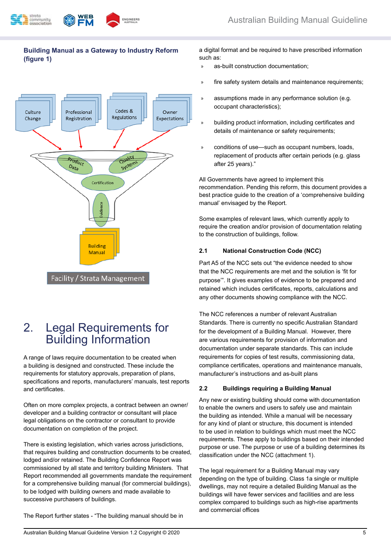

#### **Building Manual as a Gateway to Industry Reform (figure 1)**



## 2. Legal Requirements for Building Information

A range of laws require documentation to be created when a building is designed and constructed. These include the requirements for statutory approvals, preparation of plans, specifications and reports, manufacturers' manuals, test reports and certificates.

Often on more complex projects, a contract between an owner/ developer and a building contractor or consultant will place legal obligations on the contractor or consultant to provide documentation on completion of the project.

There is existing legislation, which varies across jurisdictions, that requires building and construction documents to be created, lodged and/or retained. The Building Confidence Report was commissioned by all state and territory building Ministers. That Report recommended all governments mandate the requirement for a comprehensive building manual (for commercial buildings), to be lodged with building owners and made available to successive purchasers of buildings.

The Report further states - "The building manual should be in

a digital format and be required to have prescribed information such as:

- » as-built construction documentation;
- » fire safety system details and maintenance requirements;
- » assumptions made in any performance solution (e.g. occupant characteristics);
- » building product information, including certificates and details of maintenance or safety requirements;
- » conditions of use—such as occupant numbers, loads, replacement of products after certain periods (e.g. glass after 25 years)."

All Governments have agreed to implement this recommendation. Pending this reform, this document provides a best practice guide to the creation of a 'comprehensive building manual' envisaged by the Report.

Some examples of relevant laws, which currently apply to require the creation and/or provision of documentation relating to the construction of buildings, follow.

#### **2.1 National Construction Code (NCC)**

Part A5 of the NCC sets out "the evidence needed to show that the NCC requirements are met and the solution is 'fit for purpose'". It gives examples of evidence to be prepared and retained which includes certificates, reports, calculations and any other documents showing compliance with the NCC.

The NCC references a number of relevant Australian Standards. There is currently no specific Australian Standard for the development of a Building Manual. However, there are various requirements for provision of information and documentation under separate standards. This can include requirements for copies of test results, commissioning data, compliance certificates, operations and maintenance manuals, manufacturer's instructions and as-built plans

#### **2.2 Buildings requiring a Building Manual**

Any new or existing building should come with documentation to enable the owners and users to safely use and maintain the building as intended. While a manual will be necessary for any kind of plant or structure, this document is intended to be used in relation to buildings which must meet the NCC requirements. These apply to buildings based on their intended purpose or use. The purpose or use of a building determines its classification under the NCC (attachment 1).

The legal requirement for a Building Manual may vary depending on the type of building. Class 1a single or multiple dwellings, may not require a detailed Building Manual as the buildings will have fewer services and facilities and are less complex compared to buildings such as high-rise apartments and commercial offices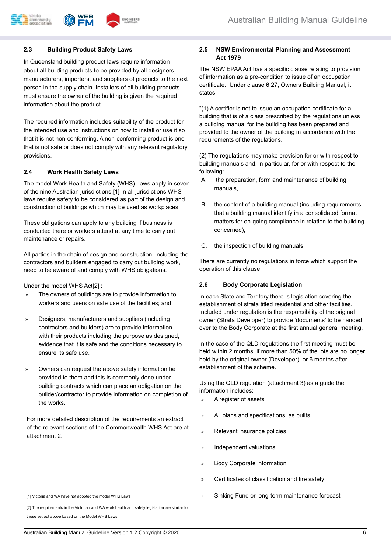

#### **2.3 Building Product Safety Laws**

In Queensland building product laws require information about all building products to be provided by all designers, manufacturers, importers, and suppliers of products to the next person in the supply chain. Installers of all building products must ensure the owner of the building is given the required information about the product.

The required information includes suitability of the product for the intended use and instructions on how to install or use it so that it is not non-conforming. A non-conforming product is one that is not safe or does not comply with any relevant regulatory provisions.

#### **2.4 Work Health Safety Laws**

The model Work Health and Safety (WHS) Laws apply in seven of the nine Australian jurisdictions.[1] In all jurisdictions WHS laws require safety to be considered as part of the design and construction of buildings which may be used as workplaces.

These obligations can apply to any building if business is conducted there or workers attend at any time to carry out maintenance or repairs.

All parties in the chain of design and construction, including the contractors and builders engaged to carry out building work, need to be aware of and comply with WHS obligations.

Under the model WHS Act[2] :

- The owners of buildings are to provide information to workers and users on safe use of the facilities; and
- » Designers, manufacturers and suppliers (including contractors and builders) are to provide information with their products including the purpose as designed, evidence that it is safe and the conditions necessary to ensure its safe use.
- » Owners can request the above safety information be provided to them and this is commonly done under building contracts which can place an obligation on the builder/contractor to provide information on completion of the works.

For more detailed description of the requirements an extract of the relevant sections of the Commonwealth WHS Act are at attachment 2.

The NSW EPAA Act has a specific clause relating to provision of information as a pre-condition to issue of an occupation certificate. Under clause 6.27, Owners Building Manual, it states

"(1) A certifier is not to issue an occupation certificate for a building that is of a class prescribed by the regulations unless a building manual for the building has been prepared and provided to the owner of the building in accordance with the requirements of the regulations.

(2) The regulations may make provision for or with respect to building manuals and, in particular, for or with respect to the following:

- A. the preparation, form and maintenance of building manuals,
- B. the content of a building manual (including requirements that a building manual identify in a consolidated format matters for on-going compliance in relation to the building concerned),
- C. the inspection of building manuals,

There are currently no regulations in force which support the operation of this clause.

#### **2.6 Body Corporate Legislation**

In each State and Territory there is legislation covering the establishment of strata titled residential and other facilities. Included under regulation is the responsibility of the original owner (Strata Developer) to provide 'documents' to be handed over to the Body Corporate at the first annual general meeting.

In the case of the QLD regulations the first meeting must be held within 2 months, if more than 50% of the lots are no longer held by the original owner (Developer), or 6 months after establishment of the scheme.

Using the QLD regulation (attachment 3) as a guide the information includes:

- » A register of assets
- » All plans and specifications, as builts
- » Relevant insurance policies
- » Independent valuations
- » Body Corporate information
- » Certificates of classification and fire safety
- Sinking Fund or long-term maintenance forecast

**<sup>2.5</sup> NSW Environmental Planning and Assessment Act 1979**

<sup>[1]</sup> Victoria and WA have not adopted the model WHS Laws

<sup>[2]</sup> The requirements in the Victorian and WA work health and safety legislation are similar to those set out above based on the Model WHS Laws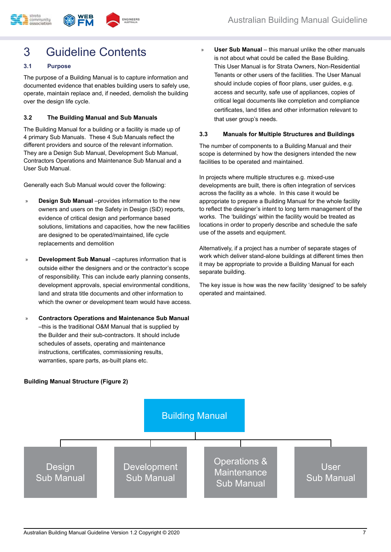## 3 Guideline Contents

#### **3.1 Purpose**

The purpose of a Building Manual is to capture information and documented evidence that enables building users to safely use, operate, maintain replace and, if needed, demolish the building over the design life cycle.

#### **3.2 The Building Manual and Sub Manuals**

The Building Manual for a building or a facility is made up of 4 primary Sub Manuals. These 4 Sub Manuals reflect the different providers and source of the relevant information. They are a Design Sub Manual, Development Sub Manual, Contractors Operations and Maintenance Sub Manual and a User Sub Manual.

Generally each Sub Manual would cover the following:

- **Design Sub Manual** –provides information to the new owners and users on the Safety in Design (SiD) reports, evidence of critical design and performance based solutions, limitations and capacities, how the new facilities are designed to be operated/maintained, life cycle replacements and demolition
- » **Development Sub Manual** –captures information that is outside either the designers and or the contractor's scope of responsibility. This can include early planning consents, development approvals, special environmental conditions, land and strata title documents and other information to which the owner or development team would have access.
- » **Contractors Operations and Maintenance Sub Manual**  –this is the traditional O&M Manual that is supplied by the Builder and their sub-contractors. It should include schedules of assets, operating and maintenance instructions, certificates, commissioning results, warranties, spare parts, as-built plans etc.

» **User Sub Manual** – this manual unlike the other manuals is not about what could be called the Base Building. This User Manual is for Strata Owners, Non-Residential Tenants or other users of the facilities. The User Manual should include copies of floor plans, user guides, e.g. access and security, safe use of appliances, copies of critical legal documents like completion and compliance certificates, land titles and other information relevant to that user group's needs.

#### **3.3 Manuals for Multiple Structures and Buildings**

The number of components to a Building Manual and their scope is determined by how the designers intended the new facilities to be operated and maintained.

In projects where multiple structures e.g. mixed-use developments are built, there is often integration of services across the facility as a whole. In this case it would be appropriate to prepare a Building Manual for the whole facility to reflect the designer's intent to long term management of the works. The 'buildings' within the facility would be treated as locations in order to properly describe and schedule the safe use of the assets and equipment.

Alternatively, if a project has a number of separate stages of work which deliver stand-alone buildings at different times then it may be appropriate to provide a Building Manual for each separate building.

The key issue is how was the new facility 'designed' to be safely operated and maintained.

#### **Building Manual Structure (Figure 2)**

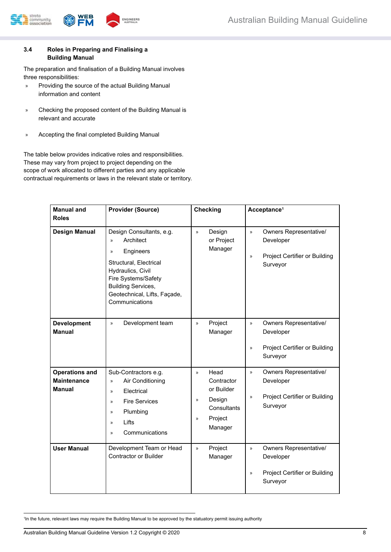



#### **3.4 Roles in Preparing and Finalising a Building Manual**

The preparation and finalisation of a Building Manual involves three responsibilities:

- » Providing the source of the actual Building Manual information and content
- » Checking the proposed content of the Building Manual is relevant and accurate
- » Accepting the final completed Building Manual

The table below provides indicative roles and responsibilities. These may vary from project to project depending on the scope of work allocated to different parties and any applicable contractual requirements or laws in the relevant state or territory.

| <b>Manual and</b><br><b>Roles</b>                            | <b>Provider (Source)</b>                                                                                                                                                                                                                  | <b>Checking</b>                                                                                                                    | Acceptance <sup>1</sup>                                                                                                   |
|--------------------------------------------------------------|-------------------------------------------------------------------------------------------------------------------------------------------------------------------------------------------------------------------------------------------|------------------------------------------------------------------------------------------------------------------------------------|---------------------------------------------------------------------------------------------------------------------------|
| <b>Design Manual</b>                                         | Design Consultants, e.g.<br>Architect<br>$\mathcal{D}$<br>Engineers<br>$\mathcal{D}$<br>Structural, Electrical<br>Hydraulics, Civil<br>Fire Systems/Safety<br><b>Building Services,</b><br>Geotechnical, Lifts, Façade,<br>Communications | $\mathcal{V}$<br>Design<br>or Project<br>Manager                                                                                   | $\mathcal{D}$<br>Owners Representative/<br>Developer<br>Project Certifier or Building<br>$\mathcal{V}$<br>Surveyor        |
| <b>Development</b><br><b>Manual</b>                          | Development team<br>$\mathcal{V}$                                                                                                                                                                                                         | Project<br>$\mathcal{D}$<br>Manager                                                                                                | <b>Owners Representative/</b><br>$\mathcal{V}$<br>Developer<br>Project Certifier or Building<br>$\mathcal{P}$<br>Surveyor |
| <b>Operations and</b><br><b>Maintenance</b><br><b>Manual</b> | Sub-Contractors e.g.<br>Air Conditioning<br>$\mathcal{V}$<br>Electrical<br>$\mathcal{V}$<br><b>Fire Services</b><br>$\mathcal{V}$<br>Plumbing<br>$\mathcal{D}$<br>Lifts<br>$\mathcal{V}$<br>Communications<br>$\mathcal{V}$               | Head<br>$\mathcal{D}$<br>Contractor<br>or Builder<br>Design<br>$\mathcal{V}$<br>Consultants<br>Project<br>$\mathcal{D}$<br>Manager | <b>Owners Representative/</b><br>$\mathcal{V}$<br>Developer<br>Project Certifier or Building<br>$\gg$<br>Surveyor         |
| <b>User Manual</b>                                           | Development Team or Head<br>Contractor or Builder                                                                                                                                                                                         | Project<br>»<br>Manager                                                                                                            | <b>Owners Representative/</b><br>$\mathcal{D}$<br>Developer<br>Project Certifier or Building<br>$\mathcal{V}$<br>Surveyor |

1 In the future, relevant laws may require the Building Manual to be approved by the statuatory permit issuing authority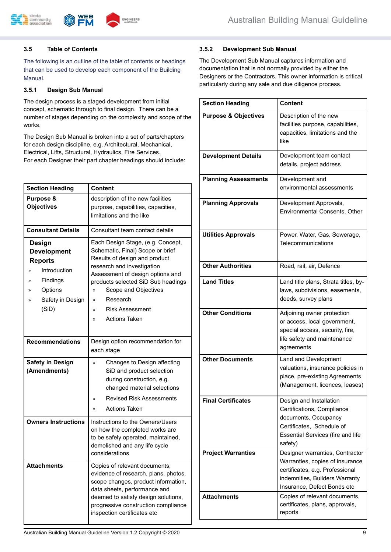

#### **3.5 Table of Contents**

The following is an outline of the table of contents or headings that can be used to develop each component of the Building Manual.

#### **3.5.1 Design Sub Manual**

The design process is a staged development from initial concept, schematic through to final design. There can be a number of stages depending on the complexity and scope of the works.

The Design Sub Manual is broken into a set of parts/chapters for each design discipline, e.g. Architectural, Mechanical, Electrical, Lifts, Structural, Hydraulics, Fire Services. For each Designer their part.chapter headings should include:

| <b>Section Heading</b>                                                                                                                                        | <b>Content</b>                                                                                                                                                                                                                                                                                                                                    |  |
|---------------------------------------------------------------------------------------------------------------------------------------------------------------|---------------------------------------------------------------------------------------------------------------------------------------------------------------------------------------------------------------------------------------------------------------------------------------------------------------------------------------------------|--|
| Purpose &<br><b>Objectives</b>                                                                                                                                | description of the new facilities<br>purpose, capabilities, capacities,<br>limitations and the like                                                                                                                                                                                                                                               |  |
| <b>Consultant Details</b>                                                                                                                                     | Consultant team contact details                                                                                                                                                                                                                                                                                                                   |  |
| <b>Design</b><br><b>Development</b><br><b>Reports</b><br>Introduction<br>$\mathcal{V}$<br>Findings<br>$\gg$<br>Options<br>»<br>Safety in Design<br>»<br>(SiD) | Each Design Stage, (e.g. Concept,<br>Schematic, Final) Scope or brief<br>Results of design and product<br>research and investigation<br>Assessment of design options and<br>products selected SiD Sub headings<br>Scope and Objectives<br>»<br>Research<br>$\mathcal{D}$<br><b>Risk Assessment</b><br>$\mathcal{D}$<br><b>Actions Taken</b><br>X) |  |
| <b>Recommendations</b>                                                                                                                                        | Design option recommendation for<br>each stage                                                                                                                                                                                                                                                                                                    |  |
| <b>Safety in Design</b><br>(Amendments)                                                                                                                       | Changes to Design affecting<br>y)<br>SiD and product selection<br>during construction, e.g.<br>changed material selections<br><b>Revised Risk Assessments</b><br>»<br><b>Actions Taken</b><br>$\mathcal{D}$                                                                                                                                       |  |
| <b>Owners Instructions</b>                                                                                                                                    | Instructions to the Owners/Users<br>on how the completed works are<br>to be safely operated, maintained,<br>demolished and any life cycle<br>considerations                                                                                                                                                                                       |  |
| <b>Attachments</b>                                                                                                                                            | Copies of relevant documents,<br>evidence of research, plans, photos,<br>scope changes, product information,<br>data sheets, performance and<br>deemed to satisfy design solutions,<br>progressive construction compliance<br>inspection certificates etc                                                                                         |  |

#### **3.5.2 Development Sub Manual**

The Development Sub Manual captures information and documentation that is not normally provided by either the Designers or the Contractors. This owner information is critical particularly during any sale and due diligence process.

| <b>Section Heading</b>          | <b>Content</b>                                                                                                                                                         |
|---------------------------------|------------------------------------------------------------------------------------------------------------------------------------------------------------------------|
| <b>Purpose &amp; Objectives</b> | Description of the new<br>facilities purpose, capabilities,<br>capacities, limitations and the<br>like                                                                 |
| <b>Development Details</b>      | Development team contact<br>details, project address                                                                                                                   |
| <b>Planning Assessments</b>     | Development and<br>environmental assessments                                                                                                                           |
| <b>Planning Approvals</b>       | Development Approvals,<br>Environmental Consents, Other                                                                                                                |
| <b>Utilities Approvals</b>      | Power, Water, Gas, Sewerage,<br>Telecommunications                                                                                                                     |
| <b>Other Authorities</b>        | Road, rail, air, Defence                                                                                                                                               |
| <b>Land Titles</b>              | Land title plans, Strata titles, by-<br>laws, subdivisions, easements,<br>deeds, survey plans                                                                          |
| <b>Other Conditions</b>         | Adjoining owner protection<br>or access, local government,<br>special access, security, fire,<br>life safety and maintenance<br>agreements                             |
| <b>Other Documents</b>          | Land and Development<br>valuations, insurance policies in<br>place, pre-existing Agreements<br>(Management, licences, leases)                                          |
| <b>Final Certificates</b>       | Design and Installation<br>Certifications, Compliance<br>documents, Occupancy<br>Certificates, Schedule of<br><b>Essential Services (fire and life</b><br>safety)      |
| <b>Project Warranties</b>       | Designer warranties, Contractor<br>Warranties, copies of insurance<br>certificates, e.g. Professional<br>indemnities, Builders Warranty<br>Insurance, Defect Bonds etc |
| <b>Attachments</b>              | Copies of relevant documents,<br>certificates, plans, approvals,<br>reports                                                                                            |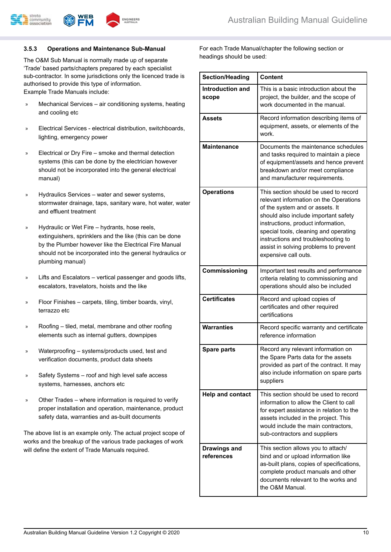

#### **3.5.3 Operations and Maintenance Sub-Manual**

The O&M Sub Manual is normally made up of separate 'Trade' based parts/chapters prepared by each specialist sub-contractor. In some jurisdictions only the licenced trade is authorised to provide this type of information. Example Trade Manuals include:

- » Mechanical Services air conditioning systems, heating and cooling etc
- » Electrical Services electrical distribution, switchboards, lighting, emergency power
- » Electrical or Dry Fire smoke and thermal detection systems (this can be done by the electrician however should not be incorporated into the general electrical manual)
- » Hydraulics Services water and sewer systems, stormwater drainage, taps, sanitary ware, hot water, water and effluent treatment
- » Hydraulic or Wet Fire hydrants, hose reels, extinguishers, sprinklers and the like (this can be done by the Plumber however like the Electrical Fire Manual should not be incorporated into the general hydraulics or plumbing manual)
- Lifts and Escalators vertical passenger and goods lifts, escalators, travelators, hoists and the like
- » Floor Finishes carpets, tiling, timber boards, vinyl, terrazzo etc
- » Roofing tiled, metal, membrane and other roofing elements such as internal gutters, downpipes
- » Waterproofing systems/products used, test and verification documents, product data sheets
- » Safety Systems roof and high level safe access systems, harnesses, anchors etc
- » Other Trades where information is required to verify proper installation and operation, maintenance, product safety data, warranties and as-built documents

The above list is an example only. The actual project scope of works and the breakup of the various trade packages of work will define the extent of Trade Manuals required.

For each Trade Manual/chapter the following section or headings should be used:

| <b>Section/Heading</b>            | <b>Content</b>                                                                                                                                                                                                                                                                                                                                    |
|-----------------------------------|---------------------------------------------------------------------------------------------------------------------------------------------------------------------------------------------------------------------------------------------------------------------------------------------------------------------------------------------------|
| Introduction and<br>scope         | This is a basic introduction about the<br>project, the builder, and the scope of<br>work documented in the manual.                                                                                                                                                                                                                                |
| <b>Assets</b>                     | Record information describing items of<br>equipment, assets, or elements of the<br>work.                                                                                                                                                                                                                                                          |
| <b>Maintenance</b>                | Documents the maintenance schedules<br>and tasks required to maintain a piece<br>of equipment/assets and hence prevent<br>breakdown and/or meet compliance<br>and manufacturer requirements.                                                                                                                                                      |
| <b>Operations</b>                 | This section should be used to record<br>relevant information on the Operations<br>of the system and or assets. It<br>should also include important safety<br>instructions, product information,<br>special tools, cleaning and operating<br>instructions and troubleshooting to<br>assist in solving problems to prevent<br>expensive call outs. |
| Commissioning                     | Important test results and performance<br>criteria relating to commissioning and<br>operations should also be included                                                                                                                                                                                                                            |
| <b>Certificates</b>               | Record and upload copies of<br>certificates and other required<br>certifications                                                                                                                                                                                                                                                                  |
| <b>Warranties</b>                 | Record specific warranty and certificate<br>reference information                                                                                                                                                                                                                                                                                 |
| Spare parts                       | Record any relevant information on<br>the Spare Parts data for the assets<br>provided as part of the contract. It may<br>also include information on spare parts<br>suppliers                                                                                                                                                                     |
| <b>Help and contact</b>           | This section should be used to record<br>information to allow the Client to call<br>for expert assistance in relation to the<br>assets included in the project. This<br>would include the main contractors,<br>sub-contractors and suppliers                                                                                                      |
| <b>Drawings and</b><br>references | This section allows you to attach/<br>bind and or upload information like<br>as-built plans, copies of specifications,<br>complete product manuals and other<br>documents relevant to the works and<br>the O&M Manual.                                                                                                                            |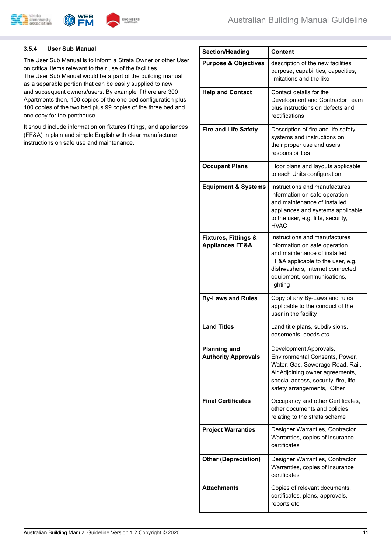

#### **3.5.4 User Sub Manual**

The User Sub Manual is to inform a Strata Owner or other User on critical items relevant to their use of the facilities. The User Sub Manual would be a part of the building manual as a separable portion that can be easily supplied to new and subsequent owners/users. By example if there are 300 Apartments then, 100 copies of the one bed configuration plus 100 copies of the two bed plus 99 copies of the three bed and one copy for the penthouse.

It should include information on fixtures fittings, and appliances (FF&A) in plain and simple English with clear manufacturer instructions on safe use and maintenance.

| <b>Section/Heading</b>                                        | <b>Content</b>                                                                                                                                                                                                   |
|---------------------------------------------------------------|------------------------------------------------------------------------------------------------------------------------------------------------------------------------------------------------------------------|
| <b>Purpose &amp; Objectives</b>                               | description of the new facilities<br>purpose, capabilities, capacities,<br>limitations and the like                                                                                                              |
| <b>Help and Contact</b>                                       | Contact details for the<br>Development and Contractor Team<br>plus instructions on defects and<br>rectifications                                                                                                 |
| <b>Fire and Life Safety</b>                                   | Description of fire and life safety<br>systems and instructions on<br>their proper use and users<br>responsibilities                                                                                             |
| <b>Occupant Plans</b>                                         | Floor plans and layouts applicable<br>to each Units configuration                                                                                                                                                |
| <b>Equipment &amp; Systems</b>                                | Instructions and manufactures<br>information on safe operation<br>and maintenance of installed<br>appliances and systems applicable<br>to the user, e.g. lifts, security,<br><b>HVAC</b>                         |
| <b>Fixtures, Fittings &amp;</b><br><b>Appliances FF&amp;A</b> | Instructions and manufactures<br>information on safe operation<br>and maintenance of installed<br>FF&A applicable to the user, e.g.<br>dishwashers, internet connected<br>equipment, communications,<br>lighting |
| <b>By-Laws and Rules</b>                                      | Copy of any By-Laws and rules<br>applicable to the conduct of the<br>user in the facility                                                                                                                        |
| <b>Land Titles</b>                                            | Land title plans, subdivisions,<br>easements, deeds etc                                                                                                                                                          |
| <b>Planning and</b><br><b>Authority Approvals</b>             | Development Approvals,<br>Environmental Consents, Power,<br>Water, Gas, Sewerage Road, Rail,<br>Air Adjoining owner agreements,<br>special access, security, fire, life<br>safety arrangements, Other            |
| <b>Final Certificates</b>                                     | Occupancy and other Certificates,<br>other documents and policies<br>relating to the strata scheme                                                                                                               |
| <b>Project Warranties</b>                                     | Designer Warranties, Contractor<br>Warranties, copies of insurance<br>certificates                                                                                                                               |
| <b>Other (Depreciation)</b>                                   | Designer Warranties, Contractor<br>Warranties, copies of insurance<br>certificates                                                                                                                               |
| <b>Attachments</b>                                            | Copies of relevant documents,<br>certificates, plans, approvals,<br>reports etc                                                                                                                                  |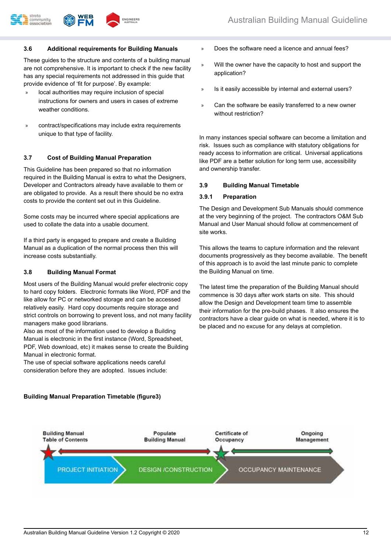#### **3.6 Additional requirements for Building Manuals**

These guides to the structure and contents of a building manual are not comprehensive. It is important to check if the new facility has any special requirements not addressed in this guide that provide evidence of 'fit for purpose'. By example:

**ENGINEER:** 

- » local authorities may require inclusion of special instructions for owners and users in cases of extreme weather conditions.
- » contract/specifications may include extra requirements unique to that type of facility.

#### **3.7 Cost of Building Manual Preparation**

This Guideline has been prepared so that no information required in the Building Manual is extra to what the Designers, Developer and Contractors already have available to them or are obligated to provide. As a result there should be no extra costs to provide the content set out in this Guideline.

Some costs may be incurred where special applications are used to collate the data into a usable document.

If a third party is engaged to prepare and create a Building Manual as a duplication of the normal process then this will increase costs substantially.

#### **3.8 Building Manual Format**

Most users of the Building Manual would prefer electronic copy to hard copy folders. Electronic formats like Word, PDF and the like allow for PC or networked storage and can be accessed relatively easily. Hard copy documents require storage and strict controls on borrowing to prevent loss, and not many facility managers make good librarians.

Also as most of the information used to develop a Building Manual is electronic in the first instance (Word, Spreadsheet, PDF, Web download, etc) it makes sense to create the Building Manual in electronic format.

The use of special software applications needs careful consideration before they are adopted. Issues include:

- » Does the software need a licence and annual fees?
- » Will the owner have the capacity to host and support the application?
- » Is it easily accessible by internal and external users?
- Can the software be easily transferred to a new owner without restriction?

In many instances special software can become a limitation and risk. Issues such as compliance with statutory obligations for ready access to information are critical. Universal applications like PDF are a better solution for long term use, accessibility and ownership transfer.

#### **3.9 Building Manual Timetable**

#### **3.9.1 Preparation**

The Design and Development Sub Manuals should commence at the very beginning of the project. The contractors O&M Sub Manual and User Manual should follow at commencement of site works.

This allows the teams to capture information and the relevant documents progressively as they become available. The benefit of this approach is to avoid the last minute panic to complete the Building Manual on time.

The latest time the preparation of the Building Manual should commence is 30 days after work starts on site. This should allow the Design and Development team time to assemble their information for the pre-build phases. It also ensures the contractors have a clear guide on what is needed, where it is to be placed and no excuse for any delays at completion.

#### **Building Manual Preparation Timetable (figure3)**

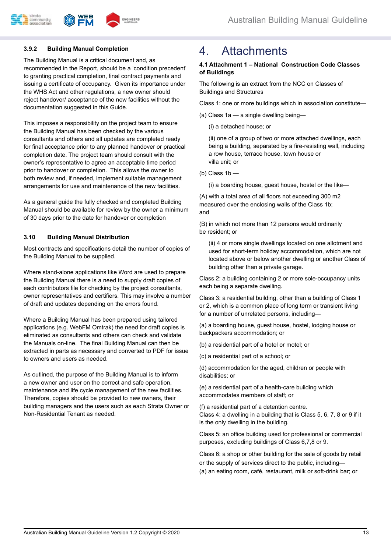

#### **3.9.2 Building Manual Completion**

The Building Manual is a critical document and, as recommended in the Report, should be a 'condition precedent' to granting practical completion, final contract payments and issuing a certificate of occupancy. Given its importance under the WHS Act and other regulations, a new owner should reject handover/ acceptance of the new facilities without the documentation suggested in this Guide.

This imposes a responsibility on the project team to ensure the Building Manual has been checked by the various consultants and others and all updates are completed ready for final acceptance prior to any planned handover or practical completion date. The project team should consult with the owner's representative to agree an acceptable time period prior to handover or completion. This allows the owner to both review and, if needed, implement suitable management arrangements for use and maintenance of the new facilities.

As a general guide the fully checked and completed Building Manual should be available for review by the owner a minimum of 30 days prior to the date for handover or completion

#### **3.10 Building Manual Distribution**

Most contracts and specifications detail the number of copies of the Building Manual to be supplied.

Where stand-alone applications like Word are used to prepare the Building Manual there is a need to supply draft copies of each contributors file for checking by the project consultants, owner representatives and certifiers. This may involve a number of draft and updates depending on the errors found.

Where a Building Manual has been prepared using tailored applications (e.g. WebFM Omtrak) the need for draft copies is eliminated as consultants and others can check and validate the Manuals on-line. The final Building Manual can then be extracted in parts as necessary and converted to PDF for issue to owners and users as needed.

As outlined, the purpose of the Building Manual is to inform a new owner and user on the correct and safe operation, maintenance and life cycle management of the new facilities. Therefore, copies should be provided to new owners, their building managers and the users such as each Strata Owner or Non-Residential Tenant as needed.

### 4. Attachments

#### **4.1 Attachment 1 – National Construction Code Classes of Buildings**

The following is an extract from the NCC on Classes of Buildings and Structures

Class 1: one or more buildings which in association constitute—

(a) Class 1a — a single dwelling being—

(i) a detached house; or

(ii) one of a group of two or more attached dwellings, each being a building, separated by a fire-resisting wall, including a row house, terrace house, town house or villa unit; or

(b) Class  $1b$  —

(i) a boarding house, guest house, hostel or the like—

(A) with a total area of all floors not exceeding 300 m2 measured over the enclosing walls of the Class 1b; and

(B) in which not more than 12 persons would ordinarily be resident; or

(ii) 4 or more single dwellings located on one allotment and used for short-term holiday accommodation, which are not located above or below another dwelling or another Class of building other than a private garage.

Class 2: a building containing 2 or more sole-occupancy units each being a separate dwelling.

Class 3: a residential building, other than a building of Class 1 or 2, which is a common place of long term or transient living for a number of unrelated persons, including—

(a) a boarding house, guest house, hostel, lodging house or backpackers accommodation; or

(b) a residential part of a hotel or motel; or

(c) a residential part of a school; or

(d) accommodation for the aged, children or people with disabilities; or

(e) a residential part of a health-care building which accommodates members of staff; or

(f) a residential part of a detention centre. Class 4: a dwelling in a building that is Class 5, 6, 7, 8 or 9 if it is the only dwelling in the building.

Class 5: an office building used for professional or commercial purposes, excluding buildings of Class 6,7,8 or 9.

Class 6: a shop or other building for the sale of goods by retail or the supply of services direct to the public, including— (a) an eating room, café, restaurant, milk or soft-drink bar; or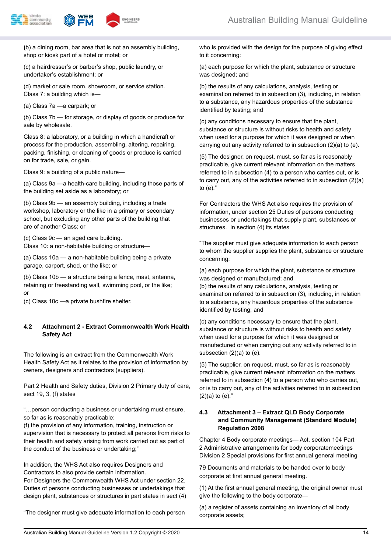



**(**b) a dining room, bar area that is not an assembly building, shop or kiosk part of a hotel or motel; or

(c) a hairdresser's or barber's shop, public laundry, or undertaker's establishment; or

(d) market or sale room, showroom, or service station. Class 7: a building which is—

(a) Class 7a —a carpark; or

(b) Class 7b — for storage, or display of goods or produce for sale by wholesale.

Class 8: a laboratory, or a building in which a handicraft or process for the production, assembling, altering, repairing, packing, finishing, or cleaning of goods or produce is carried on for trade, sale, or gain.

Class 9: a building of a public nature—

(a) Class 9a —a health-care building, including those parts of the building set aside as a laboratory; or

(b) Class 9b — an assembly building, including a trade workshop, laboratory or the like in a primary or secondary school, but excluding any other parts of the building that are of another Class; or

(c) Class 9c — an aged care building. Class 10: a non-habitable building or structure—

(a) Class 10a — a non-habitable building being a private garage, carport, shed, or the like; or

(b) Class 10b — a structure being a fence, mast, antenna, retaining or freestanding wall, swimming pool, or the like; or

(c) Class 10c —a private bushfire shelter.

#### **4.2 Attachment 2 - Extract Commonwealth Work Health Safety Act**

The following is an extract from the Commonwealth Work Health Safety Act as it relates to the provision of information by owners, designers and contractors (suppliers).

Part 2 Health and Safety duties, Division 2 Primary duty of care, sect 19, 3, (f) states

"…person conducting a business or undertaking must ensure, so far as is reasonably practicable:

(f) the provision of any information, training, instruction or supervision that is necessary to protect all persons from risks to their health and safety arising from work carried out as part of the conduct of the business or undertaking;"

In addition, the WHS Act also requires Designers and Contractors to also provide certain information.

For Designers the Commonwealth WHS Act under section 22, Duties of persons conducting businesses or undertakings that design plant, substances or structures in part states in sect (4)

"The designer must give adequate information to each person

who is provided with the design for the purpose of giving effect to it concerning:

(a) each purpose for which the plant, substance or structure was designed; and

(b) the results of any calculations, analysis, testing or examination referred to in subsection (3), including, in relation to a substance, any hazardous properties of the substance identified by testing; and

(c) any conditions necessary to ensure that the plant, substance or structure is without risks to health and safety when used for a purpose for which it was designed or when carrying out any activity referred to in subsection (2)(a) to (e).

(5) The designer, on request, must, so far as is reasonably practicable, give current relevant information on the matters referred to in subsection (4) to a person who carries out, or is to carry out, any of the activities referred to in subsection (2)(a) to (e)."

For Contractors the WHS Act also requires the provision of information, under section 25 Duties of persons conducting businesses or undertakings that supply plant, substances or structures. In section (4) its states

"The supplier must give adequate information to each person to whom the supplier supplies the plant, substance or structure concerning:

(a) each purpose for which the plant, substance or structure was designed or manufactured; and

(b) the results of any calculations, analysis, testing or examination referred to in subsection (3), including, in relation to a substance, any hazardous prop**e**rties of the substance **i**dentified by testing; and

(c) any conditions necessary to ensure that the plant, substance or structure is without risks to health and safety when used for a purpose for which it was designed or manufactured or when carrying out any activity referred to in subsection (2)(a) to (e).

(5) The supplier, on request, must, so far as is reasonably practicable, give current relevant information on the matters referred to in subsection (4) to a person who who carries out, or is to carry out, any of the activities referred to in subsection  $(2)(a)$  to  $(e)$ ."

#### **4.3 Attachment 3 – Extract QLD Body Corporate and Community Management (Standard Module) Regulation 2008**

Chapter 4 Body corporate meetings— Act, section 104 Part 2 Administrative arrangements for body corporatemeetings Division 2 Special provisions for first annual general meeting

79 Documents and materials to be handed over to body corporate at first annual general meeting.

(1) At the first annual general meeting, the original owner must give the following to the body corporate—

(a) a register of assets containing an inventory of all body corporate assets;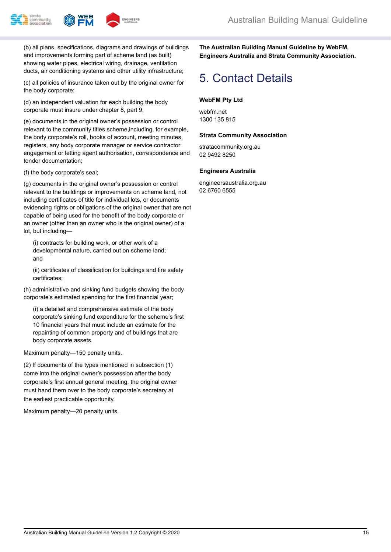



(b) all plans, specifications, diagrams and drawings of buildings and improvements forming part of scheme land (as built) showing water pipes, electrical wiring, drainage, ventilation ducts, air conditioning systems and other utility infrastructure;

(c) all policies of insurance taken out by the original owner for the body corporate;

(d) an independent valuation for each building the body corporate must insure under chapter 8, part 9;

(e) documents in the original owner's possession or control relevant to the community titles scheme,including, for example, the body corporate's roll, books of account, meeting minutes, registers, any body corporate manager or service contractor engagement or letting agent authorisation, correspondence and tender documentation;

(f) the body corporate's seal;

(g) documents in the original owner's possession or control relevant to the buildings or improvements on scheme land, not including certificates of title for individual lots, or documents evidencing rights or obligations of the original owner that are not capable of being used for the benefit of the body corporate or an owner (other than an owner who is the original owner) of a lot, but including—

(i) contracts for building work, or other work of a developmental nature, carried out on scheme land; and

(ii) certificates of classification for buildings and fire safety certificates;

(h) administrative and sinking fund budgets showing the body corporate's estimated spending for the first financial year;

(i) a detailed and comprehensive estimate of the body corporate's sinking fund expenditure for the scheme's first 10 financial years that must include an estimate for the repainting of common property and of buildings that are body corporate assets.

Maximum penalty—150 penalty units.

(2) If documents of the types mentioned in subsection (1) come into the original owner's possession after the body corporate's first annual general meeting, the original owner must hand them over to the body corporate's secretary at the earliest practicable opportunity.

Maximum penalty—20 penalty units.

**The Australian Building Manual Guideline by WebFM, Engineers Australia and Strata Community Association.**

## 5. Contact Details

#### **WebFM Pty Ltd**

webfm.net 1300 135 815

#### **Strata Community Association**

stratacommunity.org.au 02 9492 8250

#### **Engineers Australia**

engineersaustralia.org.au 02 6760 6555